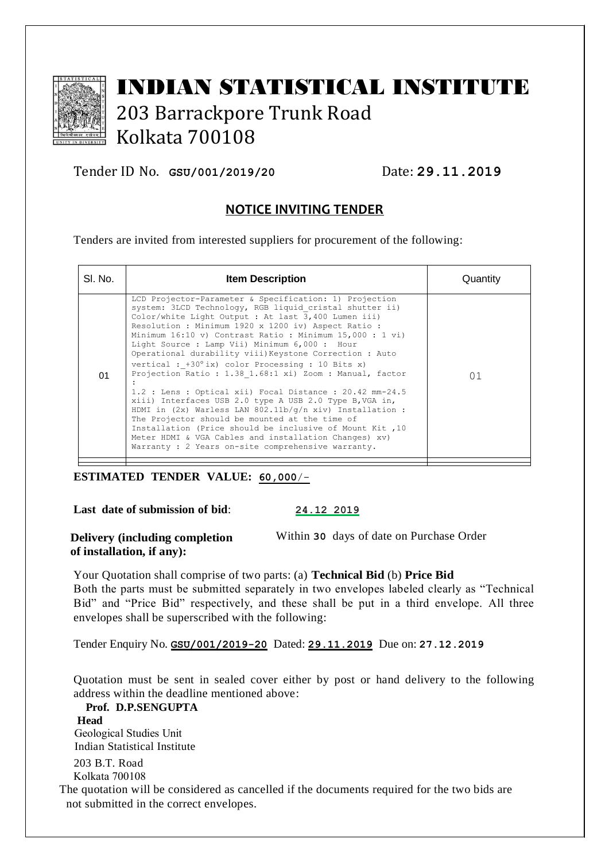

# INDIAN STATISTICAL INSTITUTE 203 Barrackpore Trunk Road Kolkata 700108

Tender ID No. **GSU/001/2019/20** Date: **29.11.2019**

# **NOTICE INVITING TENDER**

Tenders are invited from interested suppliers for procurement of the following:

| SI. No. | <b>Item Description</b>                                                                                                                                                                                                                                                                                                                                                                                                                                                                                                                                                                                                                                                                                                                                                                                                                                                                                                                            | Quantity |
|---------|----------------------------------------------------------------------------------------------------------------------------------------------------------------------------------------------------------------------------------------------------------------------------------------------------------------------------------------------------------------------------------------------------------------------------------------------------------------------------------------------------------------------------------------------------------------------------------------------------------------------------------------------------------------------------------------------------------------------------------------------------------------------------------------------------------------------------------------------------------------------------------------------------------------------------------------------------|----------|
| 01      | LCD Projector-Parameter & Specification: 1) Projection<br>system: 3LCD Technology, RGB liquid cristal shutter ii)<br>Color/white Light Output : At last 3,400 Lumen iii)<br>Resolution : Minimum 1920 x 1200 iv) Aspect Ratio :<br>Minimum 16:10 v) Contrast Ratio : Minimum 15,000 : 1 vi)<br>Light Source: Lamp Vii) Minimum 6,000: Hour<br>Operational durability viii) Keystone Correction : Auto<br>vertical : $+30^{\circ}$ ix) color Processing : 10 Bits x)<br>Projection Ratio : 1.38 1.68:1 xi) Zoom : Manual, factor<br>$1.2$ : Lens: Optical xii) Focal Distance: 20.42 mm-24.5<br>xiii) Interfaces USB 2.0 type A USB 2.0 Type B, VGA in,<br>HDMI in (2x) Warless LAN $802.11b/q/n$ xiv) Installation :<br>The Projector should be mounted at the time of<br>Installation (Price should be inclusive of Mount Kit, 10)<br>Meter HDMI & VGA Cables and installation Changes) xv)<br>Warranty : 2 Years on-site comprehensive warranty. | 01       |
|         |                                                                                                                                                                                                                                                                                                                                                                                                                                                                                                                                                                                                                                                                                                                                                                                                                                                                                                                                                    |          |

## **ESTIMATED TENDER VALUE: 60,000**/-

**Last date of submission of bid**: **24.12 2019**

**Delivery (including completion** 

Within **30** days of date on Purchase Order

**of installation, if any):**

Your Quotation shall comprise of two parts: (a) **Technical Bid** (b) **Price Bid** Both the parts must be submitted separately in two envelopes labeled clearly as "Technical Bid" and "Price Bid" respectively, and these shall be put in a third envelope. All three envelopes shall be superscribed with the following:

Tender Enquiry No. **GSU/001/2019-20** Dated: **29.11.2019** Due on: **27.12.2019**

Quotation must be sent in sealed cover either by post or hand delivery to the following address within the deadline mentioned above:

 **Prof. D.P.SENGUPTA Head** Geological Studies Unit Indian Statistical Institute 203 B.T. Road Kolkata 700108 The quotation will be considered as cancelled if the documents required for the two bids are not submitted in the correct envelopes.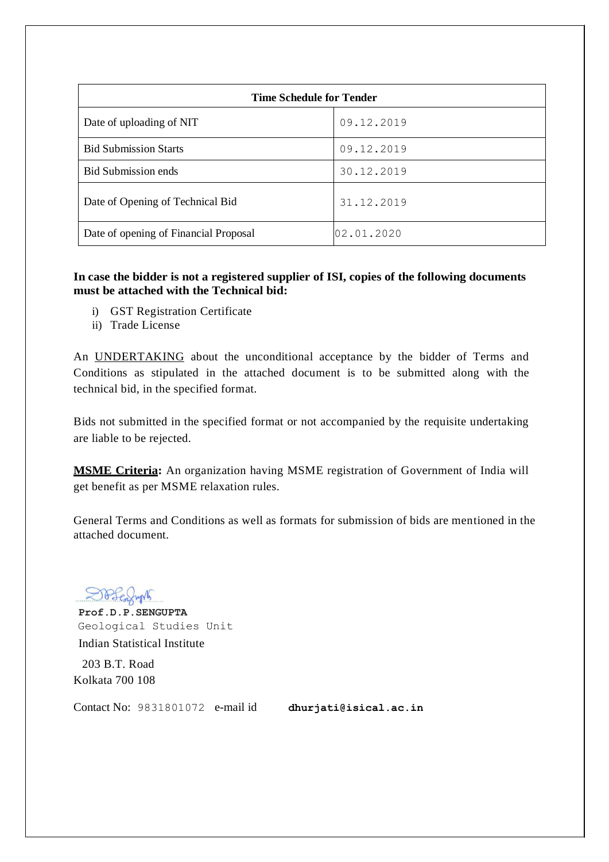| <b>Time Schedule for Tender</b>       |            |  |  |  |  |
|---------------------------------------|------------|--|--|--|--|
| Date of uploading of NIT              | 09.12.2019 |  |  |  |  |
| <b>Bid Submission Starts</b>          | 09.12.2019 |  |  |  |  |
| <b>Bid Submission ends</b>            | 30.12.2019 |  |  |  |  |
| Date of Opening of Technical Bid      | 31.12.2019 |  |  |  |  |
| Date of opening of Financial Proposal | 02.01.2020 |  |  |  |  |

## **In case the bidder is not a registered supplier of ISI, copies of the following documents must be attached with the Technical bid:**

- i) GST Registration Certificate
- ii) Trade License

An UNDERTAKING about the unconditional acceptance by the bidder of Terms and Conditions as stipulated in the attached document is to be submitted along with the technical bid, in the specified format.

Bids not submitted in the specified format or not accompanied by the requisite undertaking are liable to be rejected.

**MSME Criteria:** An organization having MSME registration of Government of India will get benefit as per MSME relaxation rules.

General Terms and Conditions as well as formats for submission of bids are mentioned in the attached document.

 **Prof.D.P.SENGUPTA** Geological Studies Unit Indian Statistical Institute

 203 B.T. Road Kolkata 700 108

Contact No: 9831801072 e-mail id **[dhurjati@isical.ac.in](mailto:dhurjati@isical.ac.in)**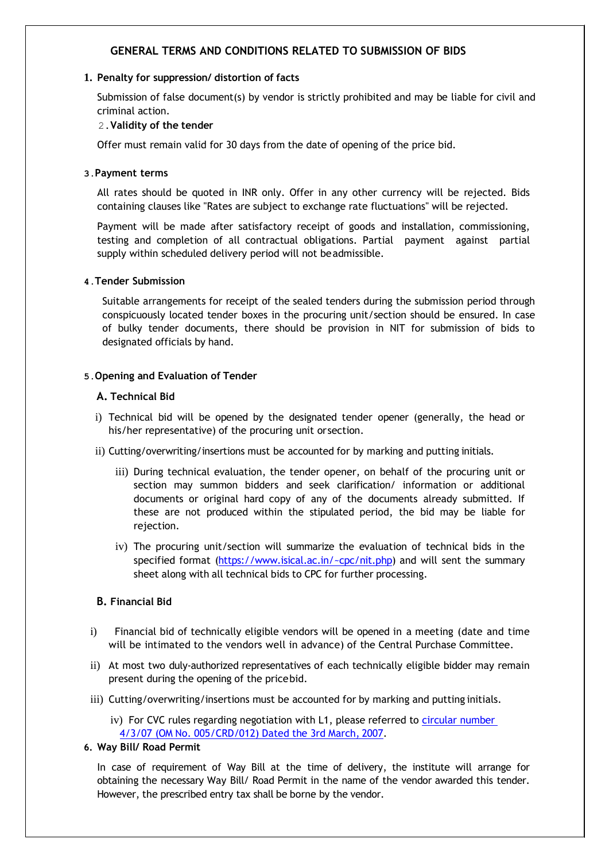## **GENERAL TERMS AND CONDITIONS RELATED TO SUBMISSION OF BIDS**

#### **1. Penalty for suppression/ distortion of facts**

Submission of false document(s) by vendor is strictly prohibited and may be liable for civil and criminal action.

#### 2.**Validity of the tender**

Offer must remain valid for 30 days from the date of opening of the price bid.

#### **3.Payment terms**

All rates should be quoted in INR only. Offer in any other currency will be rejected. Bids containing clauses like "Rates are subject to exchange rate fluctuations" will be rejected.

Payment will be made after satisfactory receipt of goods and installation, commissioning, testing and completion of all contractual obligations. Partial payment against partial supply within scheduled delivery period will not beadmissible.

#### **4.Tender Submission**

Suitable arrangements for receipt of the sealed tenders during the submission period through conspicuously located tender boxes in the procuring unit/section should be ensured. In case of bulky tender documents, there should be provision in NIT for submission of bids to designated officials by hand.

#### **5.Opening and Evaluation of Tender**

#### **A. Technical Bid**

- i) Technical bid will be opened by the designated tender opener (generally, the head or his/her representative) of the procuring unit orsection.
- ii) Cutting/overwriting/insertions must be accounted for by marking and putting initials.
	- iii) During technical evaluation, the tender opener, on behalf of the procuring unit or section may summon bidders and seek clarification/ information or additional documents or original hard copy of any of the documents already submitted. If these are not produced within the stipulated period, the bid may be liable for rejection.
	- iv) The procuring unit/section will summarize the evaluation of technical bids in the specified format [\(https://www.isical.ac.in/~cpc/nit.php\)](https://www.isical.ac.in/~cpc/nit.php) and will sent the summary sheet along with all technical bids to CPC for further processing.

## **B. Financial Bid**

- i) Financial bid of technically eligible vendors will be opened in a meeting (date and time will be intimated to the vendors well in advance) of the Central Purchase Committee.
- ii) At most two duly-authorized representatives of each technically eligible bidder may remain present during the opening of the pricebid.
- iii) Cutting/overwriting/insertions must be accounted for by marking and putting initials.
	- iv) For CVC rules regarding negotiation with L1, please referred to [circular number](http://cvc.nic.in/005crd012.pdf) [4/3/07 \(OM No. 005/CRD/012\) Dated the 3rd March,](http://cvc.nic.in/005crd012.pdf) 2007.
- **6. Way Bill/ Road Permit**

In case of requirement of Way Bill at the time of delivery, the institute will arrange for obtaining the necessary Way Bill/ Road Permit in the name of the vendor awarded this tender. However, the prescribed entry tax shall be borne by the vendor.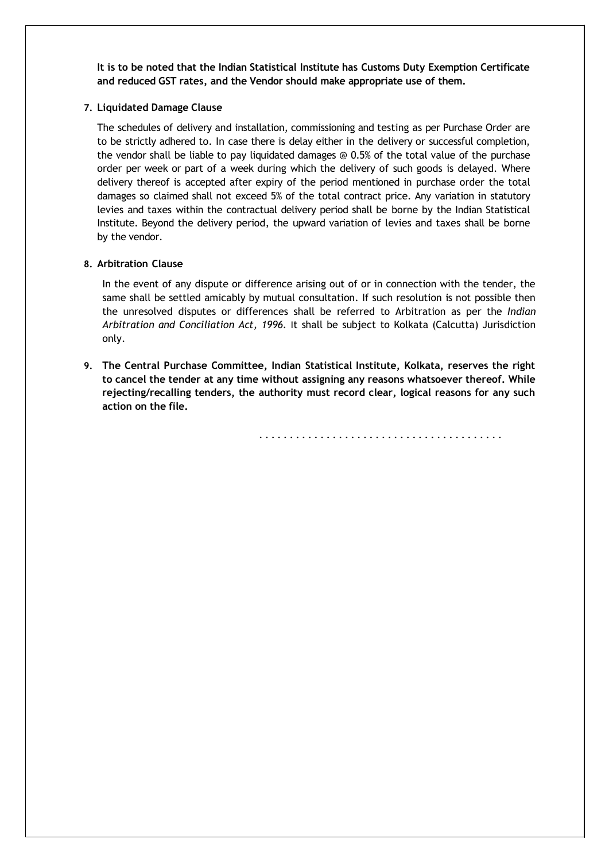**It is to be noted that the Indian Statistical Institute has Customs Duty Exemption Certificate and reduced GST rates, and the Vendor should make appropriate use of them.**

#### **7. Liquidated Damage Clause**

The schedules of delivery and installation, commissioning and testing as per Purchase Order are to be strictly adhered to. In case there is delay either in the delivery or successful completion, the vendor shall be liable to pay liquidated damages @ 0.5% of the total value of the purchase order per week or part of a week during which the delivery of such goods is delayed. Where delivery thereof is accepted after expiry of the period mentioned in purchase order the total damages so claimed shall not exceed 5% of the total contract price. Any variation in statutory levies and taxes within the contractual delivery period shall be borne by the Indian Statistical Institute. Beyond the delivery period, the upward variation of levies and taxes shall be borne by the vendor.

#### **8. Arbitration Clause**

In the event of any dispute or difference arising out of or in connection with the tender, the same shall be settled amicably by mutual consultation. If such resolution is not possible then the unresolved disputes or differences shall be referred to Arbitration as per the *Indian Arbitration and Conciliation Act, 1996.* It shall be subject to Kolkata (Calcutta) Jurisdiction only.

**9. The Central Purchase Committee, Indian Statistical Institute, Kolkata, reserves the right to cancel the tender at any time without assigning any reasons whatsoever thereof. While rejecting/recalling tenders, the authority must record clear, logical reasons for any such action on the file.**

........................................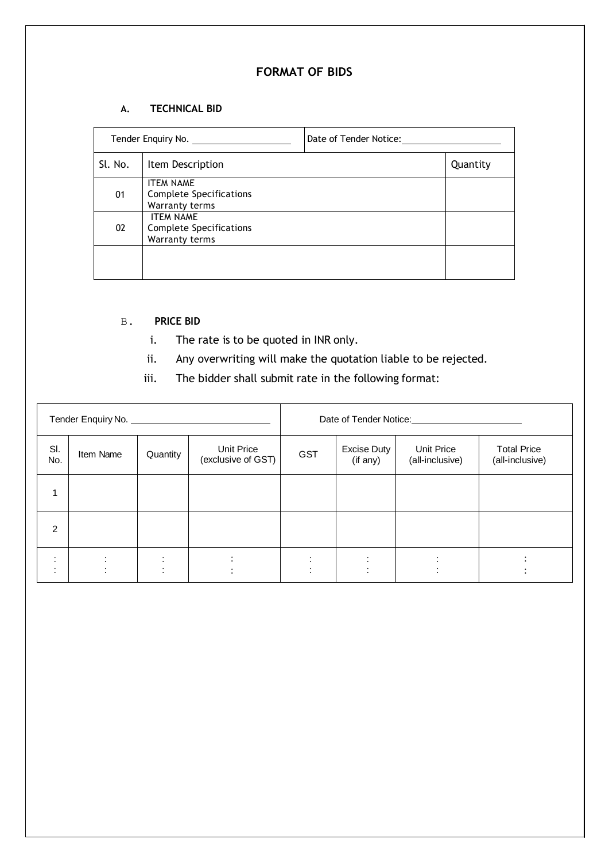# **FORMAT OF BIDS**

### **A. TECHNICAL BID**

| Tender Enquiry No. |                                                                      | Date of Tender Notice: |          |  |
|--------------------|----------------------------------------------------------------------|------------------------|----------|--|
| Sl. No.            | Item Description                                                     |                        | Quantity |  |
| 01                 | <b>ITEM NAME</b><br><b>Complete Specifications</b><br>Warranty terms |                        |          |  |
| 02                 | <b>ITEM NAME</b><br>Complete Specifications<br>Warranty terms        |                        |          |  |
|                    |                                                                      |                        |          |  |

## B. **PRICE BID**

- i. The rate is to be quoted in INR only.
- ii. Any overwriting will make the quotation liable to be rejected.
- iii. The bidder shall submit rate in the following format:

|                |           |                         |                                  | Date of Tender Notice:<br><u> 1989 - Jan Barbarat, prima prima prima prima prima prima prima prima prima prima prima prima prima prima pri</u> |                                |                               |                                       |
|----------------|-----------|-------------------------|----------------------------------|------------------------------------------------------------------------------------------------------------------------------------------------|--------------------------------|-------------------------------|---------------------------------------|
| SI.<br>No.     | Item Name | Quantity                | Unit Price<br>(exclusive of GST) | <b>GST</b>                                                                                                                                     | <b>Excise Duty</b><br>(if any) | Unit Price<br>(all-inclusive) | <b>Total Price</b><br>(all-inclusive) |
| 1              |           |                         |                                  |                                                                                                                                                |                                |                               |                                       |
| $\overline{2}$ |           |                         |                                  |                                                                                                                                                |                                |                               |                                       |
| $\cdot$        |           | $\cdot$<br>$\cdot$<br>٠ | $\bullet$                        |                                                                                                                                                |                                |                               |                                       |